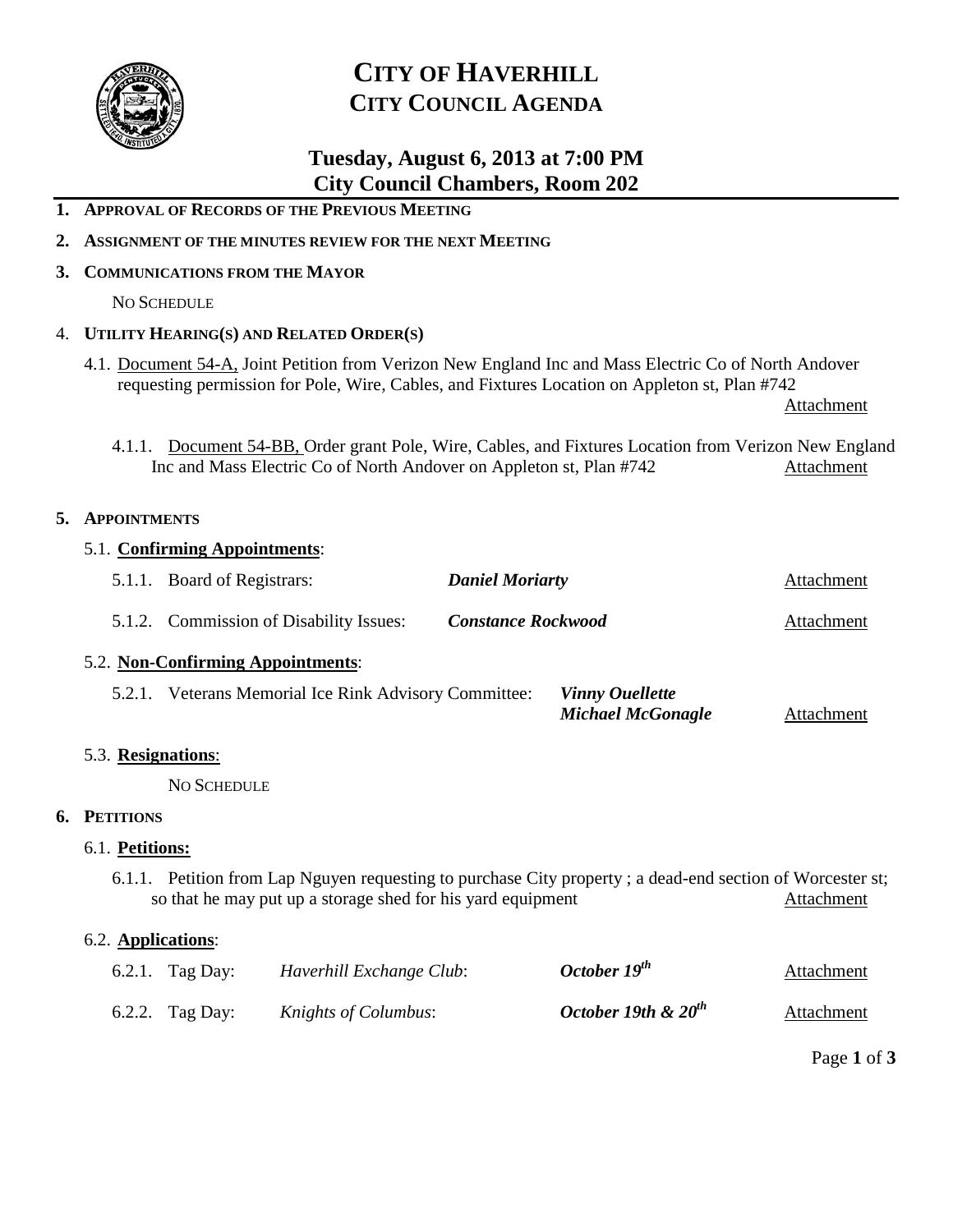

# **CITY OF HAVERHILL CITY COUNCIL AGENDA**

# **Tuesday, August 6, 2013 at 7:00 PM City Council Chambers, Room 202**

- **1. APPROVAL OF RECORDS OF THE PREVIOUS MEETING**
- **2. ASSIGNMENT OF THE MINUTES REVIEW FOR THE NEXT MEETING**
- **3. COMMUNICATIONS FROM THE MAYOR**

NO SCHEDULE

## 4. **UTILITY HEARING(S) AND RELATED ORDER(S)**

4.1. Document 54-A, Joint Petition from Verizon New England Inc and Mass Electric Co of North Andover requesting permission for Pole, Wire, Cables, and Fixtures Location on Appleton st, Plan #742

Attachment

4.1.1. Document 54-BB, Order grant Pole, Wire, Cables, and Fixtures Location from Verizon New England Inc and Mass Electric Co of North Andover on Appleton st, Plan #742 Attachment

## **5. APPOINTMENTS**

| 5.1. Confirming Appointments:                                                                                                                                            |                                                                                                             |                                         |                           |                          |            |  |  |
|--------------------------------------------------------------------------------------------------------------------------------------------------------------------------|-------------------------------------------------------------------------------------------------------------|-----------------------------------------|---------------------------|--------------------------|------------|--|--|
|                                                                                                                                                                          | 5.1.1. Board of Registrars:                                                                                 |                                         | <b>Daniel Moriarty</b>    |                          | Attachment |  |  |
|                                                                                                                                                                          |                                                                                                             | 5.1.2. Commission of Disability Issues: | <b>Constance Rockwood</b> |                          | Attachment |  |  |
| 5.2. Non-Confirming Appointments:                                                                                                                                        |                                                                                                             |                                         |                           |                          |            |  |  |
|                                                                                                                                                                          | <b>Vinny Ouellette</b><br>5.2.1. Veterans Memorial Ice Rink Advisory Committee:<br><b>Michael McGonagle</b> |                                         |                           |                          | Attachment |  |  |
| 5.3. Resignations:                                                                                                                                                       |                                                                                                             |                                         |                           |                          |            |  |  |
| <b>NO SCHEDULE</b>                                                                                                                                                       |                                                                                                             |                                         |                           |                          |            |  |  |
| 6. PETITIONS                                                                                                                                                             |                                                                                                             |                                         |                           |                          |            |  |  |
| 6.1. Petitions:                                                                                                                                                          |                                                                                                             |                                         |                           |                          |            |  |  |
| 6.1.1. Petition from Lap Nguyen requesting to purchase City property; a dead-end section of Worcester st;<br>so that he may put up a storage shed for his yard equipment |                                                                                                             |                                         |                           |                          |            |  |  |
| 6.2. Applications:                                                                                                                                                       |                                                                                                             |                                         |                           |                          |            |  |  |
|                                                                                                                                                                          | 6.2.1. Tag Day:                                                                                             | Haverhill Exchange Club:                |                           | October 19 <sup>th</sup> | Attachment |  |  |
|                                                                                                                                                                          | 6.2.2. Tag Day:                                                                                             | Knights of Columbus:                    |                           | October 19th & $20^{th}$ | Attachment |  |  |

Page **1** of **3**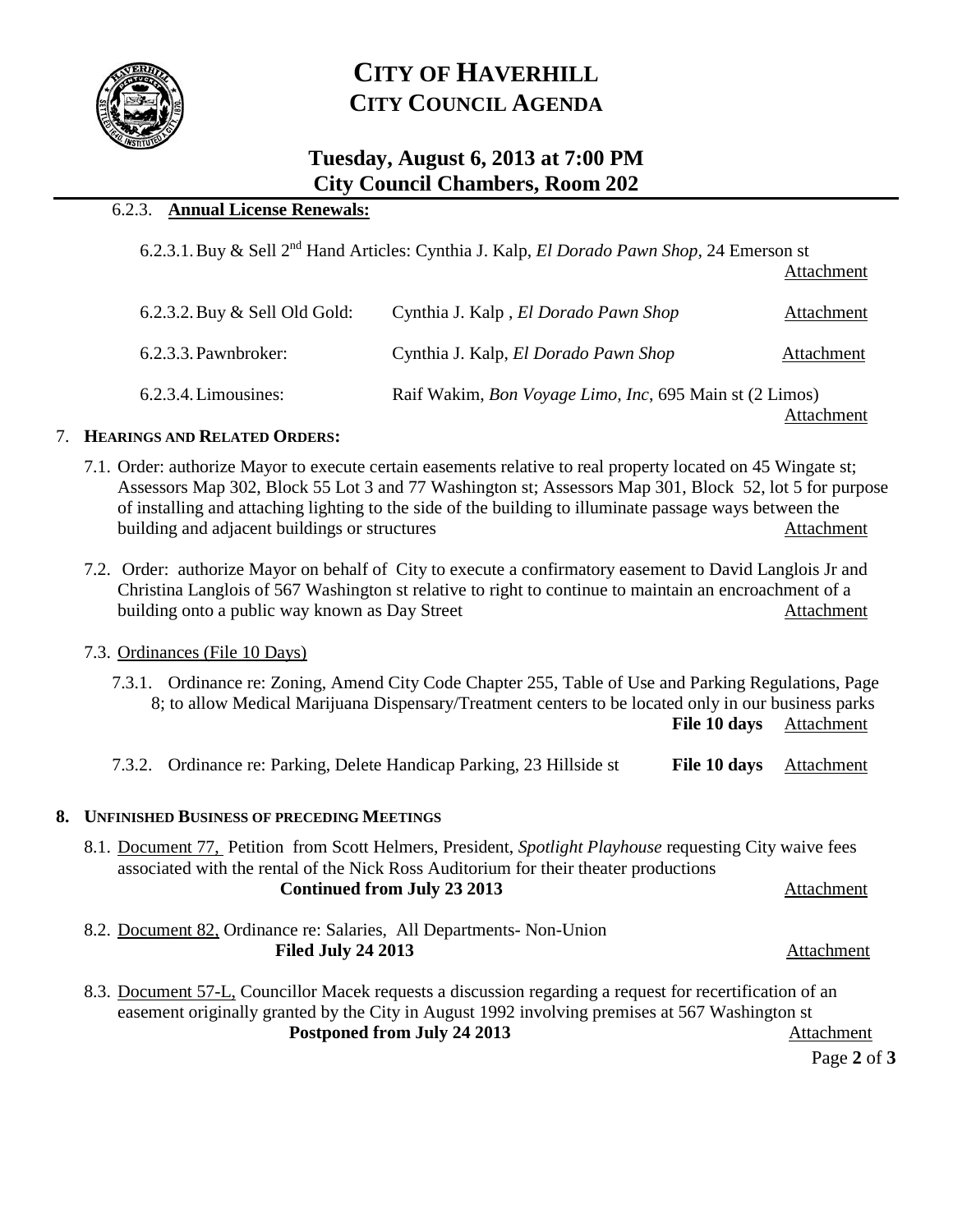

# **CITY OF HAVERHILL CITY COUNCIL AGENDA**

# **Tuesday, August 6, 2013 at 7:00 PM City Council Chambers, Room 202**

## 6.2.3. **Annual License Renewals:**

6.2.3.1.Buy & Sell 2nd Hand Articles: Cynthia J. Kalp, *El Dorado Pawn Shop,* 24 Emerson st

Attachment

| 6.2.3.2. Buy & Sell Old Gold: | Cynthia J. Kalp, El Dorado Pawn Shop                                                  | Attachment |  |
|-------------------------------|---------------------------------------------------------------------------------------|------------|--|
| 6.2.3.3. Pawnbroker:          | Cynthia J. Kalp, El Dorado Pawn Shop                                                  | Attachment |  |
| $6.2.3.4$ . Limousines:       | Raif Wakim, <i>Bon Voyage Limo</i> , <i>Inc</i> , 695 Main st (2 Limos)<br>Attachment |            |  |

### 7. **HEARINGS AND RELATED ORDERS:**

- 7.1. Order: authorize Mayor to execute certain easements relative to real property located on 45 Wingate st; Assessors Map 302, Block 55 Lot 3 and 77 Washington st; Assessors Map 301, Block 52, lot 5 for purpose of installing and attaching lighting to the side of the building to illuminate passage ways between the building and adjacent buildings or structures Attachment
- 7.2. Order: authorize Mayor on behalf of City to execute a confirmatory easement to David Langlois Jr and Christina Langlois of 567 Washington st relative to right to continue to maintain an encroachment of a building onto a public way known as Day Street Attachment

### 7.3. Ordinances (File 10 Days)

| 7.3.1. Ordinance re: Zoning, Amend City Code Chapter 255, Table of Use and Parking Regulations, Page<br>8; to allow Medical Marijuana Dispensary/Treatment centers to be located only in our business parks<br>File 10 days            | Attachment |  |  |  |  |
|----------------------------------------------------------------------------------------------------------------------------------------------------------------------------------------------------------------------------------------|------------|--|--|--|--|
| 7.3.2. Ordinance re: Parking, Delete Handicap Parking, 23 Hillside st<br>File 10 days                                                                                                                                                  | Attachment |  |  |  |  |
| 8. UNFINISHED BUSINESS OF PRECEDING MEETINGS                                                                                                                                                                                           |            |  |  |  |  |
| 8.1. Document 77, Petition from Scott Helmers, President, Spotlight Playhouse requesting City waive fees<br>associated with the rental of the Nick Ross Auditorium for their theater productions<br><b>Continued from July 23 2013</b> | Attachment |  |  |  |  |
| 8.2. Document 82, Ordinance re: Salaries, All Departments- Non-Union<br><b>Filed July 24 2013</b>                                                                                                                                      | Attachment |  |  |  |  |
| 8.3. Document 57-L, Councillor Macek requests a discussion regarding a request for recertification of an<br>easement originally granted by the City in August 1992 involving premises at 567 Washington st                             |            |  |  |  |  |
| Postponed from July 24 2013                                                                                                                                                                                                            | Attachment |  |  |  |  |

Page **2** of **3**